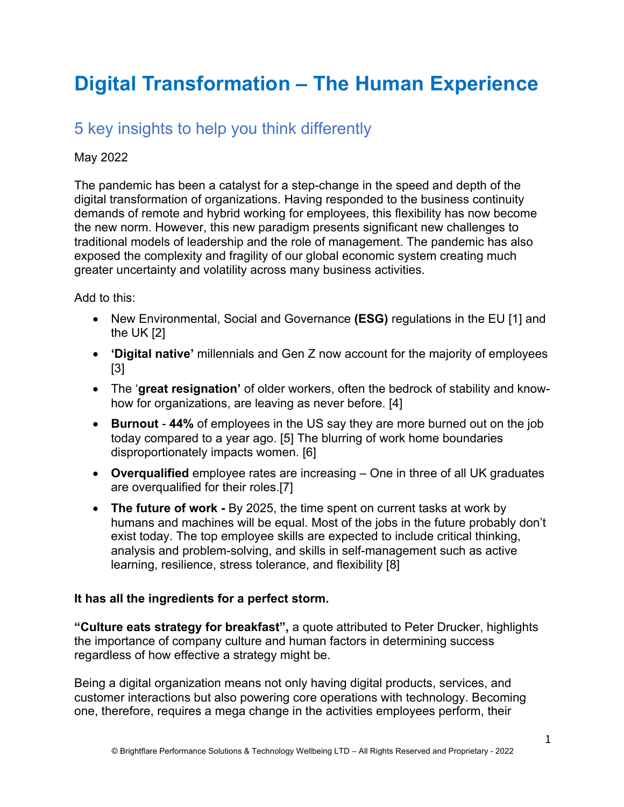# **Digital Transformation – The Human Experience**

## 5 key insights to help you think differently

#### May 2022

The pandemic has been a catalyst for a step-change in the speed and depth of the digital transformation of organizations. Having responded to the business continuity demands of remote and hybrid working for employees, this flexibility has now become the new norm. However, this new paradigm presents significant new challenges to traditional models of leadership and the role of management. The pandemic has also exposed the complexity and fragility of our global economic system creating much greater uncertainty and volatility across many business activities.

#### Add to this:

- New Environmental, Social and Governance **(ESG)** regulations in the EU [1] and the UK [2]
- **'Digital native'** millennials and Gen Z now account for the majority of employees [3]
- The '**great resignation'** of older workers, often the bedrock of stability and knowhow for organizations, are leaving as never before. [4]
- **Burnout 44%** of employees in the US say they are more burned out on the job today compared to a year ago. [5] The blurring of work home boundaries disproportionately impacts women. [6]
- **Overqualified** employee rates are increasing One in three of all UK graduates are overqualified for their roles.[7]
- **The future of work -** By 2025, the time spent on current tasks at work by humans and machines will be equal. Most of the jobs in the future probably don't exist today. The top employee skills are expected to include critical thinking, analysis and problem-solving, and skills in self-management such as active learning, resilience, stress tolerance, and flexibility [8]

#### **It has all the ingredients for a perfect storm.**

**"Culture eats strategy for breakfast",** a quote attributed to Peter Drucker, highlights the importance of company culture and human factors in determining success regardless of how effective a strategy might be.

Being a digital organization means not only having digital products, services, and customer interactions but also powering core operations with technology. Becoming one, therefore, requires a mega change in the activities employees perform, their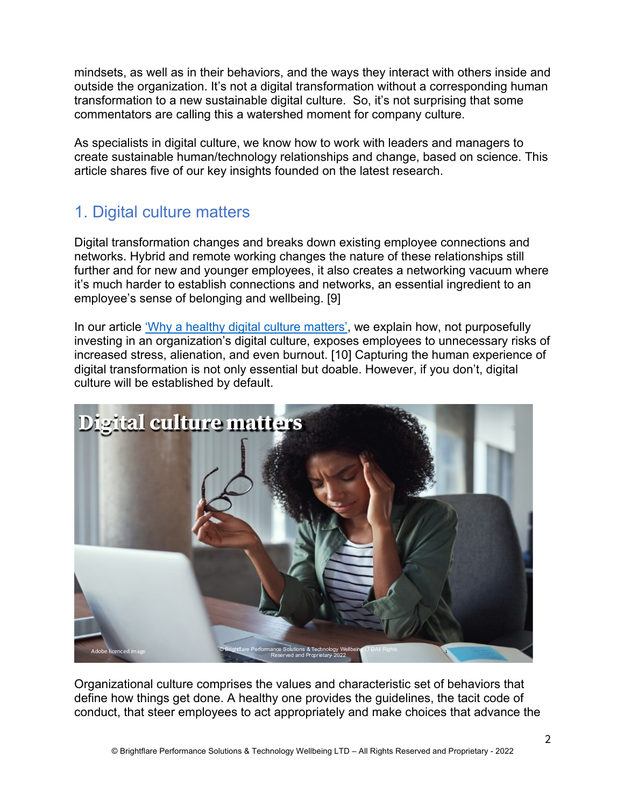mindsets, as well as in their behaviors, and the ways they interact with others inside and outside the organization. It's not a digital transformation without a corresponding human transformation to a new sustainable digital culture. So, it's not surprising that some commentators are calling this a watershed moment for company culture.

As specialists in digital culture, we know how to work with leaders and managers to create sustainable human/technology relationships and change, based on science. This article shares five of our key insights founded on the latest research.

## 1. Digital culture matters

Digital transformation changes and breaks down existing employee connections and networks. Hybrid and remote working changes the nature of these relationships still further and for new and younger employees, it also creates a networking vacuum where it's much harder to establish connections and networks, an essential ingredient to an employee's sense of belonging and wellbeing. [9]

In our article 'Why a healthy digital culture matters', we explain how, not purposefully investing in an organization's digital culture, exposes employees to unnecessary risks of increased stress, alienation, and even burnout. [10] Capturing the human experience of digital transformation is not only essential but doable. However, if you don't, digital culture will be established by default.



Organizational culture comprises the values and characteristic set of behaviors that define how things get done. A healthy one provides the guidelines, the tacit code of conduct, that steer employees to act appropriately and make choices that advance the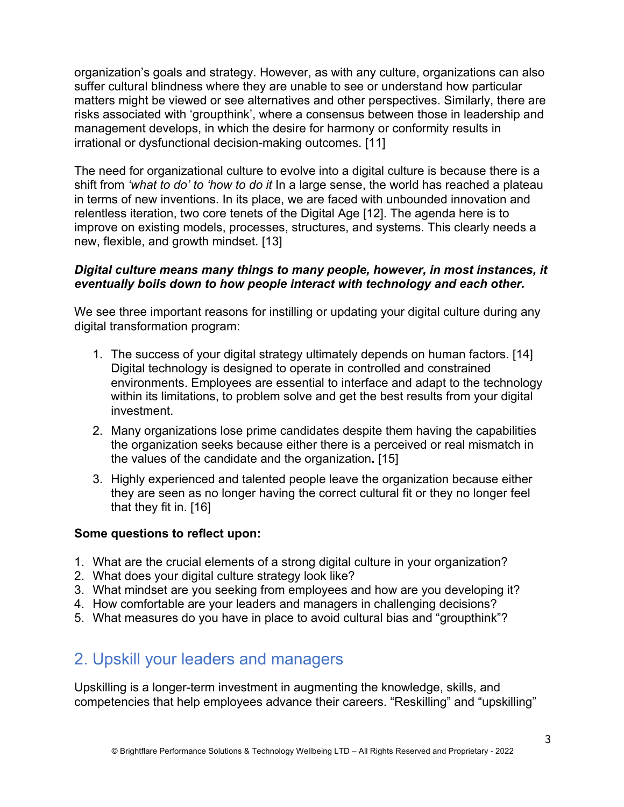organization's goals and strategy. However, as with any culture, organizations can also suffer cultural blindness where they are unable to see or understand how particular matters might be viewed or see alternatives and other perspectives. Similarly, there are risks associated with 'groupthink', where a consensus between those in leadership and management develops, in which the desire for harmony or conformity results in irrational or dysfunctional decision-making outcomes. [11]

The need for organizational culture to evolve into a digital culture is because there is a shift from *'what to do' to 'how to do it* In a large sense, the world has reached a plateau in terms of new inventions. In its place, we are faced with unbounded innovation and relentless iteration, two core tenets of the Digital Age [12]. The agenda here is to improve on existing models, processes, structures, and systems. This clearly needs a new, flexible, and growth mindset. [13]

#### *Digital culture means many things to many people, however, in most instances, it eventually boils down to how people interact with technology and each other.*

We see three important reasons for instilling or updating your digital culture during any digital transformation program:

- 1. The success of your digital strategy ultimately depends on human factors. [14] Digital technology is designed to operate in controlled and constrained environments. Employees are essential to interface and adapt to the technology within its limitations, to problem solve and get the best results from your digital investment.
- 2. Many organizations lose prime candidates despite them having the capabilities the organization seeks because either there is a perceived or real mismatch in the values of the candidate and the organization**.** [15]
- 3. Highly experienced and talented people leave the organization because either they are seen as no longer having the correct cultural fit or they no longer feel that they fit in. [16]

#### **Some questions to reflect upon:**

- 1. What are the crucial elements of a strong digital culture in your organization?
- 2. What does your digital culture strategy look like?
- 3. What mindset are you seeking from employees and how are you developing it?
- 4. How comfortable are your leaders and managers in challenging decisions?
- 5. What measures do you have in place to avoid cultural bias and "groupthink"?

## 2. Upskill your leaders and managers

Upskilling is a longer-term investment in augmenting the knowledge, skills, and competencies that help employees advance their careers. "Reskilling" and "upskilling"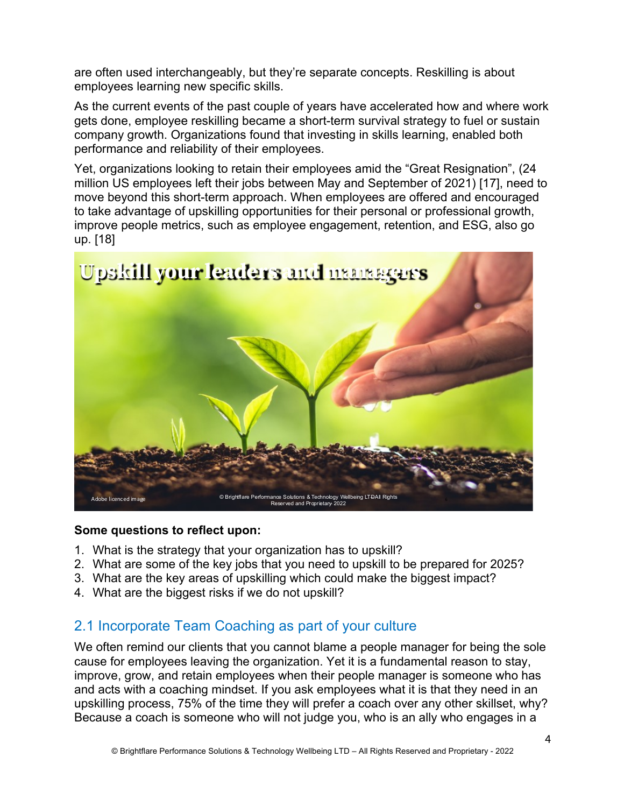are often used interchangeably, but they're separate concepts. Reskilling is about employees learning new specific skills.

As the current events of the past couple of years have accelerated how and where work gets done, employee reskilling became a short-term survival strategy to fuel or sustain company growth. Organizations found that investing in skills learning, enabled both performance and reliability of their employees.

Yet, organizations looking to retain their employees amid the "Great Resignation", (24 million US employees left their jobs between May and September of 2021) [17], need to move beyond this short-term approach. When employees are offered and encouraged to take advantage of upskilling opportunities for their personal or professional growth, improve people metrics, such as employee engagement, retention, and ESG, also go up. [18]



#### **Some questions to reflect upon:**

- 1. What is the strategy that your organization has to upskill?
- 2. What are some of the key jobs that you need to upskill to be prepared for 2025?
- 3. What are the key areas of upskilling which could make the biggest impact?
- 4. What are the biggest risks if we do not upskill?

### 2.1 Incorporate Team Coaching as part of your culture

We often remind our clients that you cannot blame a people manager for being the sole cause for employees leaving the organization. Yet it is a fundamental reason to stay, improve, grow, and retain employees when their people manager is someone who has and acts with a coaching mindset. If you ask employees what it is that they need in an upskilling process, 75% of the time they will prefer a coach over any other skillset, why? Because a coach is someone who will not judge you, who is an ally who engages in a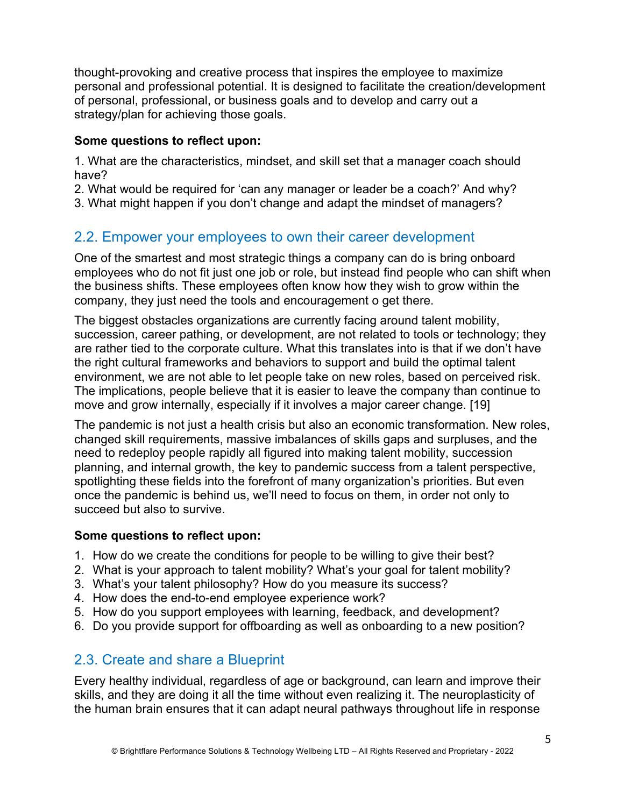thought-provoking and creative process that inspires the employee to maximize personal and professional potential. It is designed to facilitate the creation/development of personal, professional, or business goals and to develop and carry out a strategy/plan for achieving those goals.

#### **Some questions to reflect upon:**

1. What are the characteristics, mindset, and skill set that a manager coach should have?

2. What would be required for 'can any manager or leader be a coach?' And why?

3. What might happen if you don't change and adapt the mindset of managers?

## 2.2. Empower your employees to own their career development

One of the smartest and most strategic things a company can do is bring onboard employees who do not fit just one job or role, but instead find people who can shift when the business shifts. These employees often know how they wish to grow within the company, they just need the tools and encouragement o get there.

The biggest obstacles organizations are currently facing around talent mobility, succession, career pathing, or development, are not related to tools or technology; they are rather tied to the corporate culture. What this translates into is that if we don't have the right cultural frameworks and behaviors to support and build the optimal talent environment, we are not able to let people take on new roles, based on perceived risk. The implications, people believe that it is easier to leave the company than continue to move and grow internally, especially if it involves a major career change. [19]

The pandemic is not just a health crisis but also an economic transformation. New roles, changed skill requirements, massive imbalances of skills gaps and surpluses, and the need to redeploy people rapidly all figured into making talent mobility, succession planning, and internal growth, the key to pandemic success from a talent perspective, spotlighting these fields into the forefront of many organization's priorities. But even once the pandemic is behind us, we'll need to focus on them, in order not only to succeed but also to survive.

#### **Some questions to reflect upon:**

- 1. How do we create the conditions for people to be willing to give their best?
- 2. What is your approach to talent mobility? What's your goal for talent mobility?
- 3. What's your talent philosophy? How do you measure its success?
- 4. How does the end-to-end employee experience work?
- 5. How do you support employees with learning, feedback, and development?
- 6. Do you provide support for offboarding as well as onboarding to a new position?

### 2.3. Create and share a Blueprint

Every healthy individual, regardless of age or background, can learn and improve their skills, and they are doing it all the time without even realizing it. The neuroplasticity of the human brain ensures that it can adapt neural pathways throughout life in response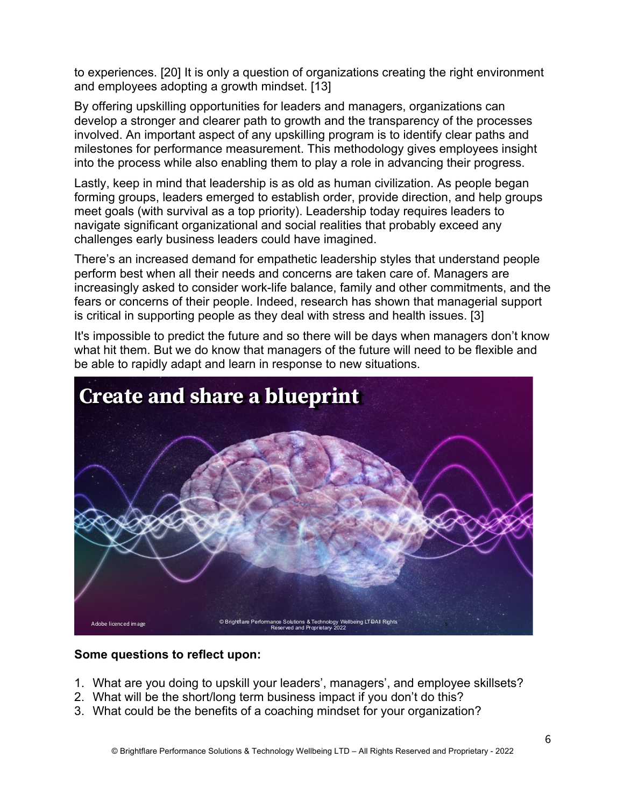to experiences. [20] It is only a question of organizations creating the right environment and employees adopting a growth mindset. [13]

By offering upskilling opportunities for leaders and managers, organizations can develop a stronger and clearer path to growth and the transparency of the processes involved. An important aspect of any upskilling program is to identify clear paths and milestones for performance measurement. This methodology gives employees insight into the process while also enabling them to play a role in advancing their progress.

Lastly, keep in mind that leadership is as old as human civilization. As people began forming groups, leaders emerged to establish order, provide direction, and help groups meet goals (with survival as a top priority). Leadership today requires leaders to navigate significant organizational and social realities that probably exceed any challenges early business leaders could have imagined.

There's an increased demand for empathetic leadership styles that understand people perform best when all their needs and concerns are taken care of. Managers are increasingly asked to consider work-life balance, family and other commitments, and the fears or concerns of their people. Indeed, research has shown that managerial support is critical in supporting people as they deal with stress and health issues. [3]

It's impossible to predict the future and so there will be days when managers don't know what hit them. But we do know that managers of the future will need to be flexible and be able to rapidly adapt and learn in response to new situations.



#### **Some questions to reflect upon:**

- 1. What are you doing to upskill your leaders', managers', and employee skillsets?
- 2. What will be the short/long term business impact if you don't do this?
- 3. What could be the benefits of a coaching mindset for your organization?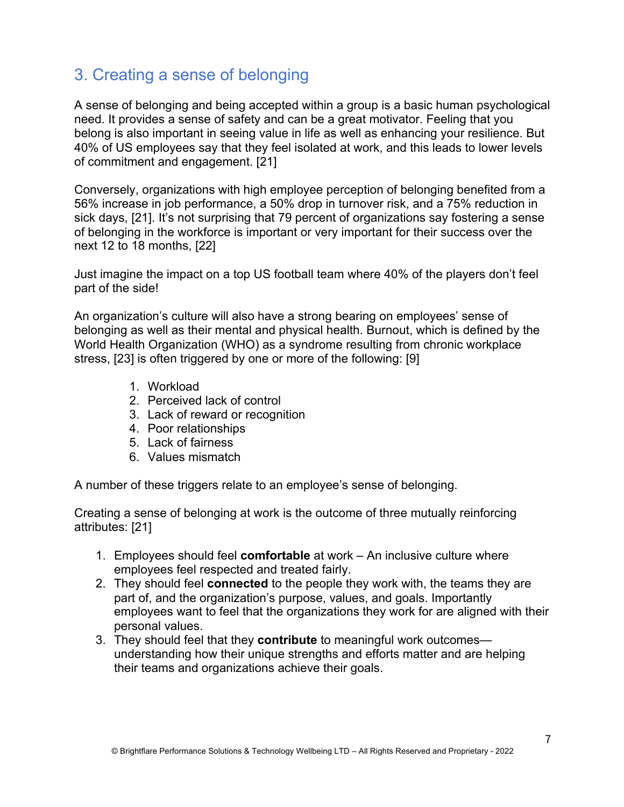## 3. Creating a sense of belonging

A sense of belonging and being accepted within a group is a basic human psychological need. It provides a sense of safety and can be a great motivator. Feeling that you belong is also important in seeing value in life as well as enhancing your resilience. But 40% of US employees say that they feel isolated at work, and this leads to lower levels of commitment and engagement. [21]

Conversely, organizations with high employee perception of belonging benefited from a 56% increase in job performance, a 50% drop in turnover risk, and a 75% reduction in sick days, [21]. It's not surprising that 79 percent of organizations say fostering a sense of belonging in the workforce is important or very important for their success over the next 12 to 18 months, [22]

Just imagine the impact on a top US football team where 40% of the players don't feel part of the side!

An organization's culture will also have a strong bearing on employees' sense of belonging as well as their mental and physical health. Burnout, which is defined by the World Health Organization (WHO) as a syndrome resulting from chronic workplace stress, [23] is often triggered by one or more of the following: [9]

- 1. Workload
- 2. Perceived lack of control
- 3. Lack of reward or recognition
- 4. Poor relationships
- 5. Lack of fairness
- 6. Values mismatch

A number of these triggers relate to an employee's sense of belonging.

Creating a sense of belonging at work is the outcome of three mutually reinforcing attributes: [21]

- 1. Employees should feel **comfortable** at work An inclusive culture where employees feel respected and treated fairly.
- 2. They should feel **connected** to the people they work with, the teams they are part of, and the organization's purpose, values, and goals. Importantly employees want to feel that the organizations they work for are aligned with their personal values.
- 3. They should feel that they **contribute** to meaningful work outcomes understanding how their unique strengths and efforts matter and are helping their teams and organizations achieve their goals.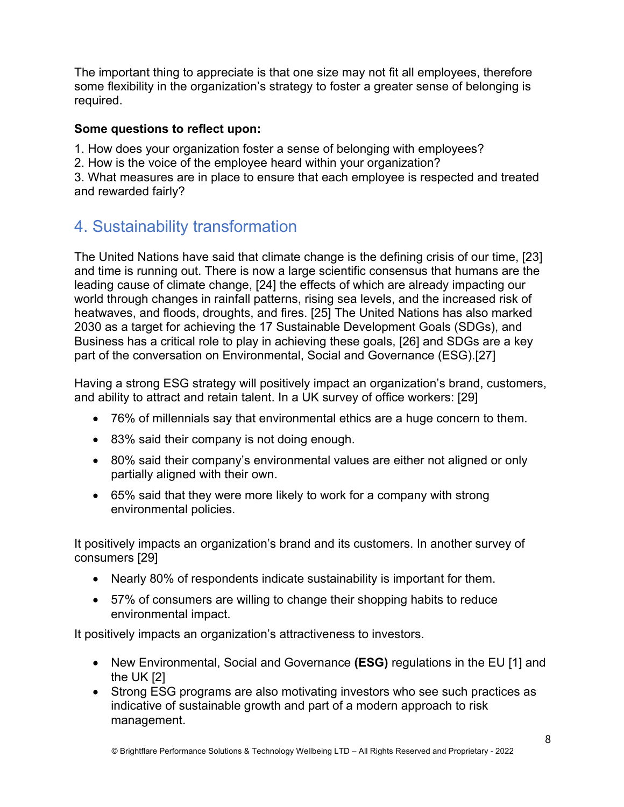The important thing to appreciate is that one size may not fit all employees, therefore some flexibility in the organization's strategy to foster a greater sense of belonging is required.

#### **Some questions to reflect upon:**

1. How does your organization foster a sense of belonging with employees?

2. How is the voice of the employee heard within your organization?

3. What measures are in place to ensure that each employee is respected and treated and rewarded fairly?

## 4. Sustainability transformation

The United Nations have said that climate change is the defining crisis of our time, [23] and time is running out. There is now a large scientific consensus that humans are the leading cause of climate change, [24] the effects of which are already impacting our world through changes in rainfall patterns, rising sea levels, and the increased risk of heatwaves, and floods, droughts, and fires. [25] The United Nations has also marked 2030 as a target for achieving the 17 Sustainable Development Goals (SDGs), and Business has a critical role to play in achieving these goals, [26] and SDGs are a key part of the conversation on Environmental, Social and Governance (ESG).[27]

Having a strong ESG strategy will positively impact an organization's brand, customers, and ability to attract and retain talent. In a UK survey of office workers: [29]

- 76% of millennials say that environmental ethics are a huge concern to them.
- 83% said their company is not doing enough.
- 80% said their company's environmental values are either not aligned or only partially aligned with their own.
- 65% said that they were more likely to work for a company with strong environmental policies.

It positively impacts an organization's brand and its customers. In another survey of consumers [29]

- Nearly 80% of respondents indicate sustainability is important for them.
- 57% of consumers are willing to change their shopping habits to reduce environmental impact.

It positively impacts an organization's attractiveness to investors.

- New Environmental, Social and Governance **(ESG)** regulations in the EU [1] and the UK [2]
- Strong ESG programs are also motivating investors who see such practices as indicative of sustainable growth and part of a modern approach to risk management.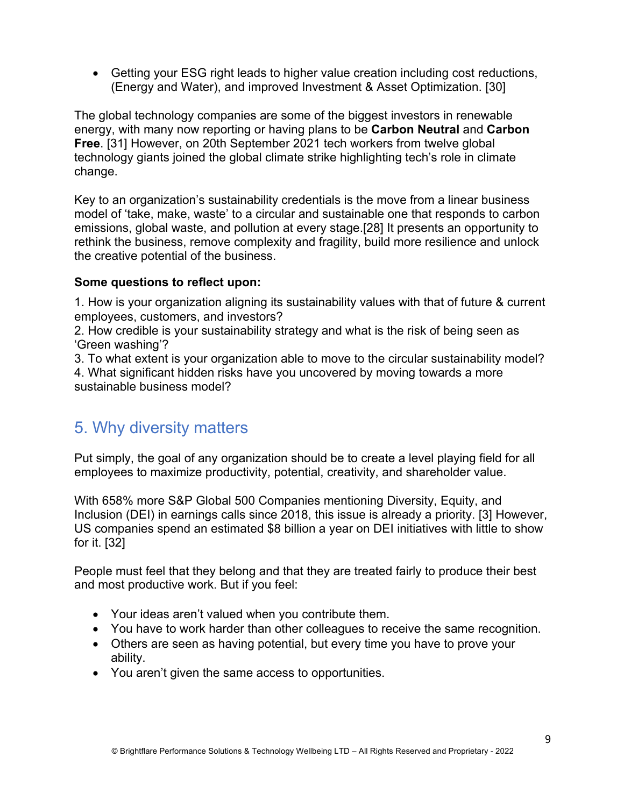• Getting your ESG right leads to higher value creation including cost reductions, (Energy and Water), and improved Investment & Asset Optimization. [30]

The global technology companies are some of the biggest investors in renewable energy, with many now reporting or having plans to be **Carbon Neutral** and **Carbon Free**. [31] However, on 20th September 2021 tech workers from twelve global technology giants joined the global climate strike highlighting tech's role in climate change.

Key to an organization's sustainability credentials is the move from a linear business model of 'take, make, waste' to a circular and sustainable one that responds to carbon emissions, global waste, and pollution at every stage.[28] It presents an opportunity to rethink the business, remove complexity and fragility, build more resilience and unlock the creative potential of the business.

#### **Some questions to reflect upon:**

1. How is your organization aligning its sustainability values with that of future & current employees, customers, and investors?

2. How credible is your sustainability strategy and what is the risk of being seen as 'Green washing'?

3. To what extent is your organization able to move to the circular sustainability model? 4. What significant hidden risks have you uncovered by moving towards a more sustainable business model?

## 5. Why diversity matters

Put simply, the goal of any organization should be to create a level playing field for all employees to maximize productivity, potential, creativity, and shareholder value.

With 658% more S&P Global 500 Companies mentioning Diversity, Equity, and Inclusion (DEI) in earnings calls since 2018, this issue is already a priority. [3] However, US companies spend an estimated \$8 billion a year on DEI initiatives with little to show for it. [32]

People must feel that they belong and that they are treated fairly to produce their best and most productive work. But if you feel:

- Your ideas aren't valued when you contribute them.
- You have to work harder than other colleagues to receive the same recognition.
- Others are seen as having potential, but every time you have to prove your ability.
- You aren't given the same access to opportunities.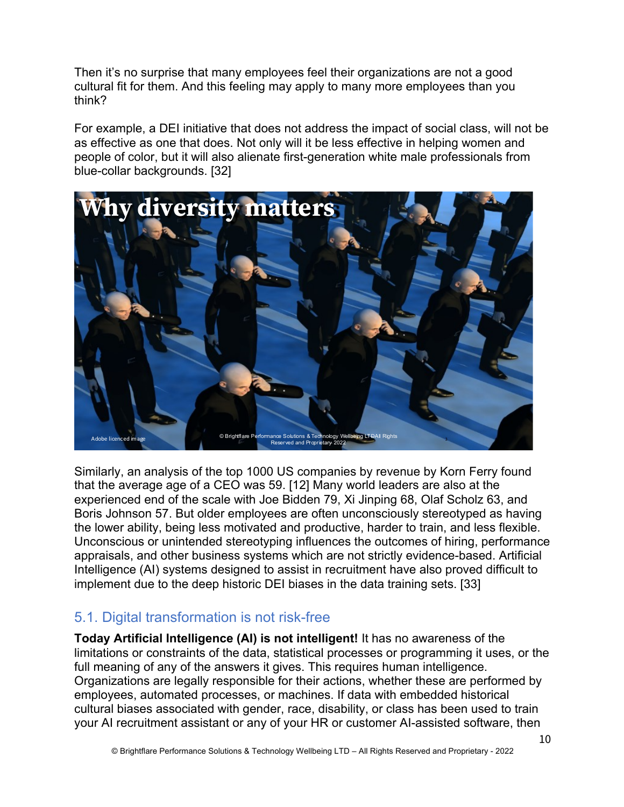Then it's no surprise that many employees feel their organizations are not a good cultural fit for them. And this feeling may apply to many more employees than you think?

For example, a DEI initiative that does not address the impact of social class, will not be as effective as one that does. Not only will it be less effective in helping women and people of color, but it will also alienate first-generation white male professionals from blue-collar backgrounds. [32]



Similarly, an analysis of the top 1000 US companies by revenue by Korn Ferry found that the average age of a CEO was 59. [12] Many world leaders are also at the experienced end of the scale with Joe Bidden 79, Xi Jinping 68, Olaf Scholz 63, and Boris Johnson 57. But older employees are often unconsciously stereotyped as having the lower ability, being less motivated and productive, harder to train, and less flexible. Unconscious or unintended stereotyping influences the outcomes of hiring, performance appraisals, and other business systems which are not strictly evidence-based. Artificial Intelligence (AI) systems designed to assist in recruitment have also proved difficult to implement due to the deep historic DEI biases in the data training sets. [33]

## 5.1. Digital transformation is not risk-free

**Today Artificial Intelligence (AI) is not intelligent!** It has no awareness of the limitations or constraints of the data, statistical processes or programming it uses, or the full meaning of any of the answers it gives. This requires human intelligence. Organizations are legally responsible for their actions, whether these are performed by employees, automated processes, or machines. If data with embedded historical cultural biases associated with gender, race, disability, or class has been used to train your AI recruitment assistant or any of your HR or customer AI-assisted software, then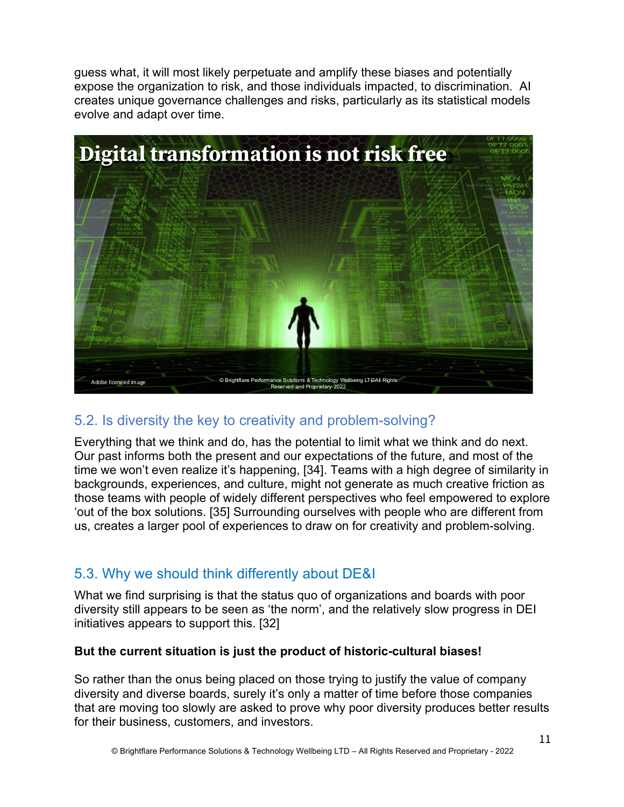guess what, it will most likely perpetuate and amplify these biases and potentially expose the organization to risk, and those individuals impacted, to discrimination. AI creates unique governance challenges and risks, particularly as its statistical models evolve and adapt over time.



### 5.2. Is diversity the key to creativity and problem-solving?

Everything that we think and do, has the potential to limit what we think and do next. Our past informs both the present and our expectations of the future, and most of the time we won't even realize it's happening, [34]. Teams with a high degree of similarity in backgrounds, experiences, and culture, might not generate as much creative friction as those teams with people of widely different perspectives who feel empowered to explore 'out of the box solutions. [35] Surrounding ourselves with people who are different from us, creates a larger pool of experiences to draw on for creativity and problem-solving.

## 5.3. Why we should think differently about DE&I

What we find surprising is that the status quo of organizations and boards with poor diversity still appears to be seen as 'the norm', and the relatively slow progress in DEI initiatives appears to support this. [32]

#### **But the current situation is just the product of historic-cultural biases!**

So rather than the onus being placed on those trying to justify the value of company diversity and diverse boards, surely it's only a matter of time before those companies that are moving too slowly are asked to prove why poor diversity produces better results for their business, customers, and investors.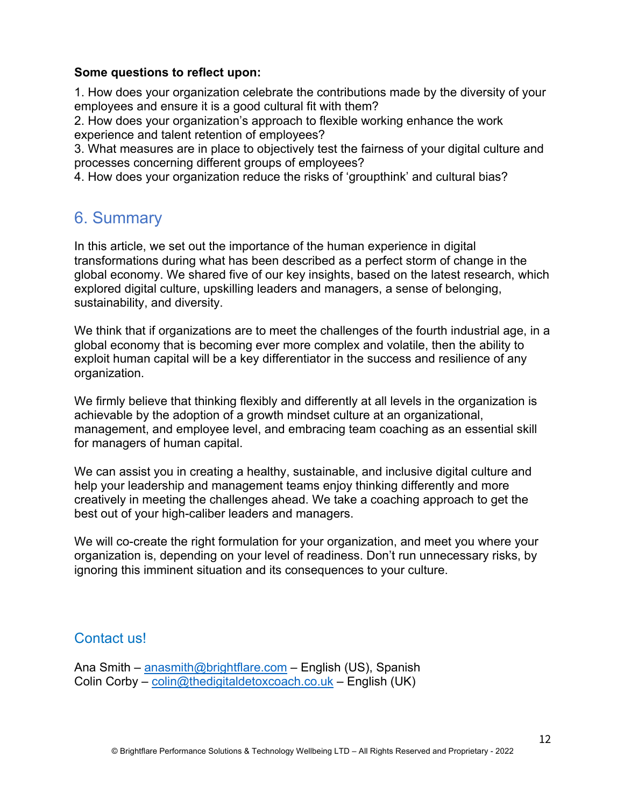#### **Some questions to reflect upon:**

1. How does your organization celebrate the contributions made by the diversity of your employees and ensure it is a good cultural fit with them?

2. How does your organization's approach to flexible working enhance the work experience and talent retention of employees?

3. What measures are in place to objectively test the fairness of your digital culture and processes concerning different groups of employees?

4. How does your organization reduce the risks of 'groupthink' and cultural bias?

## 6. Summary

In this article, we set out the importance of the human experience in digital transformations during what has been described as a perfect storm of change in the global economy. We shared five of our key insights, based on the latest research, which explored digital culture, upskilling leaders and managers, a sense of belonging, sustainability, and diversity.

We think that if organizations are to meet the challenges of the fourth industrial age, in a global economy that is becoming ever more complex and volatile, then the ability to exploit human capital will be a key differentiator in the success and resilience of any organization.

We firmly believe that thinking flexibly and differently at all levels in the organization is achievable by the adoption of a growth mindset culture at an organizational, management, and employee level, and embracing team coaching as an essential skill for managers of human capital.

We can assist you in creating a healthy, sustainable, and inclusive digital culture and help your leadership and management teams enjoy thinking differently and more creatively in meeting the challenges ahead. We take a coaching approach to get the best out of your high-caliber leaders and managers.

We will co-create the right formulation for your organization, and meet you where your organization is, depending on your level of readiness. Don't run unnecessary risks, by ignoring this imminent situation and its consequences to your culture.

### Contact us!

Ana Smith – anasmith@brightflare.com – English (US), Spanish Colin Corby – colin@thedigitaldetoxcoach.co.uk – English (UK)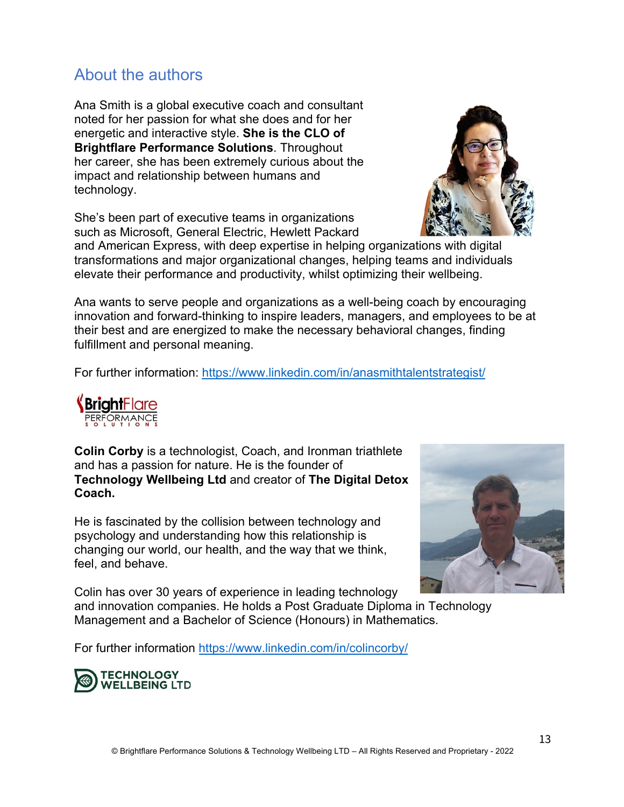## About the authors

Ana Smith is a global executive coach and consultant noted for her passion for what she does and for her energetic and interactive style. **She is the CLO of Brightflare Performance Solutions**. Throughout her career, she has been extremely curious about the impact and relationship between humans and technology.

She's been part of executive teams in organizations such as Microsoft, General Electric, Hewlett Packard

and American Express, with deep expertise in helping organizations with digital transformations and major organizational changes, helping teams and individuals elevate their performance and productivity, whilst optimizing their wellbeing.

Ana wants to serve people and organizations as a well-being coach by encouraging innovation and forward-thinking to inspire leaders, managers, and employees to be at their best and are energized to make the necessary behavioral changes, finding fulfillment and personal meaning.

For further information: https://www.linkedin.com/in/anasmithtalentstrategist/

## **Technology Wellbeing Ltd** and creator of **The Digital Detox Coach.**  He is fascinated by the collision between technology and

and has a passion for nature. He is the founder of

**Colin Corby** is a technologist, Coach, and Ironman triathlete

psychology and understanding how this relationship is changing our world, our health, and the way that we think, feel, and behave.

Colin has over 30 years of experience in leading technology

Management and a Bachelor of Science (Honours) in Mathematics.

For further information https://www.linkedin.com/in/colincorby/

**TECHNOLOGY WELLBEING LTD** 



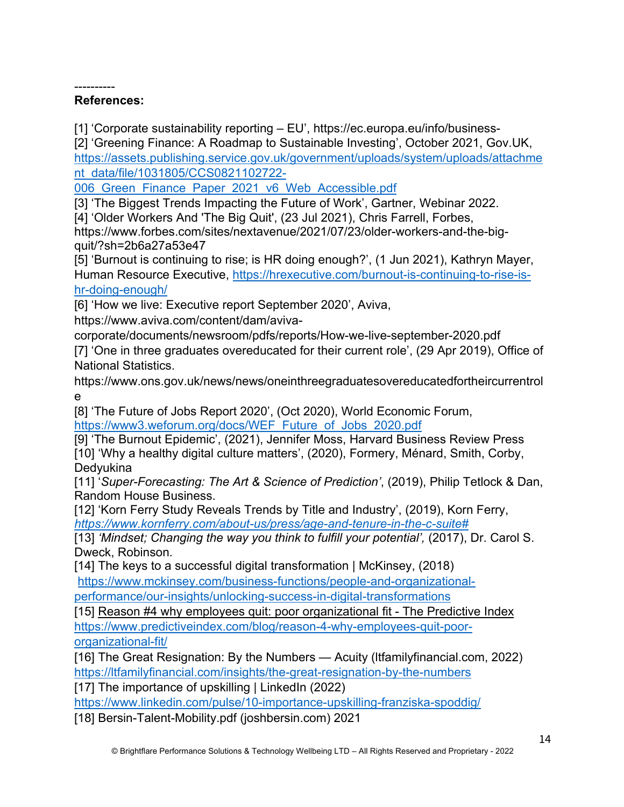#### ---------- **References:**

[1] 'Corporate sustainability reporting – EU', https://ec.europa.eu/info/business-

[2] 'Greening Finance: A Roadmap to Sustainable Investing', October 2021, Gov.UK, https://assets.publishing.service.gov.uk/government/uploads/system/uploads/attachme nt\_data/file/1031805/CCS0821102722-

006 Green Finance Paper 2021 v6 Web Accessible.pdf

[3] 'The Biggest Trends Impacting the Future of Work', Gartner, Webinar 2022.

[4] 'Older Workers And 'The Big Quit', (23 Jul 2021), Chris Farrell, Forbes,

https://www.forbes.com/sites/nextavenue/2021/07/23/older-workers-and-the-bigquit/?sh=2b6a27a53e47

[5] 'Burnout is continuing to rise; is HR doing enough?', (1 Jun 2021), Kathryn Mayer, Human Resource Executive, https://hrexecutive.com/burnout-is-continuing-to-rise-ishr-doing-enough/

[6] 'How we live: Executive report September 2020', Aviva,

https://www.aviva.com/content/dam/aviva-

corporate/documents/newsroom/pdfs/reports/How-we-live-september-2020.pdf

[7] 'One in three graduates overeducated for their current role', (29 Apr 2019), Office of National Statistics.

https://www.ons.gov.uk/news/news/oneinthreegraduatesovereducatedfortheircurrentrol e

[8] 'The Future of Jobs Report 2020', (Oct 2020), World Economic Forum, https://www3.weforum.org/docs/WEF\_Future\_of\_Jobs\_2020.pdf

[9] 'The Burnout Epidemic', (2021), Jennifer Moss, Harvard Business Review Press [10] 'Why a healthy digital culture matters', (2020), Formery, Ménard, Smith, Corby, **Dedvukina** 

[11] '*Super-Forecasting: The Art & Science of Prediction'*, (2019), Philip Tetlock & Dan, Random House Business.

[12] 'Korn Ferry Study Reveals Trends by Title and Industry', (2019), Korn Ferry, *https://www.kornferry.com/about-us/press/age-and-tenure-in-the-c-suite#*

[13] *'Mindset; Changing the way you think to fulfill your potential', (2017), Dr. Carol S.* Dweck, Robinson*.* 

[14] The keys to a successful digital transformation | McKinsey, (2018)

https://www.mckinsey.com/business-functions/people-and-organizational-

performance/our-insights/unlocking-success-in-digital-transformations

[15] Reason #4 why employees quit: poor organizational fit - The Predictive Index https://www.predictiveindex.com/blog/reason-4-why-employees-quit-poororganizational-fit/

[16] The Great Resignation: By the Numbers — Acuity (ltfamilyfinancial.com, 2022) https://ltfamilyfinancial.com/insights/the-great-resignation-by-the-numbers

[17] The importance of upskilling | LinkedIn (2022)

https://www.linkedin.com/pulse/10-importance-upskilling-franziska-spoddig/

[18] Bersin-Talent-Mobility.pdf (joshbersin.com) 2021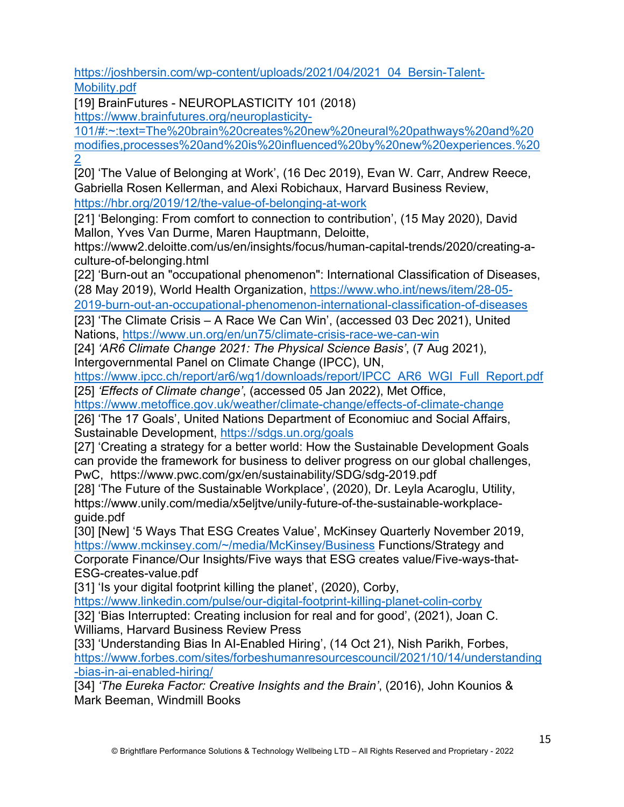https://joshbersin.com/wp-content/uploads/2021/04/2021\_04\_Bersin-Talent-Mobility.pdf

[19] BrainFutures - NEUROPLASTICITY 101 (2018)

https://www.brainfutures.org/neuroplasticity-

101/#:~:text=The%20brain%20creates%20new%20neural%20pathways%20and%20 modifies,processes%20and%20is%20influenced%20by%20new%20experiences.%20 2

[20] 'The Value of Belonging at Work', (16 Dec 2019), Evan W. Carr, Andrew Reece, Gabriella Rosen Kellerman, and Alexi Robichaux, Harvard Business Review, https://hbr.org/2019/12/the-value-of-belonging-at-work

[21] 'Belonging: From comfort to connection to contribution', (15 May 2020), David Mallon, Yves Van Durme, Maren Hauptmann, Deloitte,

https://www2.deloitte.com/us/en/insights/focus/human-capital-trends/2020/creating-aculture-of-belonging.html

[22] 'Burn-out an "occupational phenomenon": International Classification of Diseases, (28 May 2019), World Health Organization, https://www.who.int/news/item/28-05-

2019-burn-out-an-occupational-phenomenon-international-classification-of-diseases

[23] 'The Climate Crisis – A Race We Can Win', (accessed 03 Dec 2021), United Nations, https://www.un.org/en/un75/climate-crisis-race-we-can-win

[24] *'AR6 Climate Change 2021: The Physical Science Basis'*, (7 Aug 2021), Intergovernmental Panel on Climate Change (IPCC), UN,

https://www.ipcc.ch/report/ar6/wg1/downloads/report/IPCC\_AR6\_WGI\_Full\_Report.pdf [25] *'Effects of Climate change'*, (accessed 05 Jan 2022), Met Office,

https://www.metoffice.gov.uk/weather/climate-change/effects-of-climate-change

[26] 'The 17 Goals', United Nations Department of Economiuc and Social Affairs, Sustainable Development, https://sdgs.un.org/goals

[27] 'Creating a strategy for a better world: How the Sustainable Development Goals can provide the framework for business to deliver progress on our global challenges, PwC, https://www.pwc.com/gx/en/sustainability/SDG/sdg-2019.pdf

[28] 'The Future of the Sustainable Workplace', (2020), Dr. Leyla Acaroglu, Utility, https://www.unily.com/media/x5eljtve/unily-future-of-the-sustainable-workplaceguide.pdf

[30] [New] '5 Ways That ESG Creates Value', McKinsey Quarterly November 2019, https://www.mckinsey.com/~/media/McKinsey/Business Functions/Strategy and Corporate Finance/Our Insights/Five ways that ESG creates value/Five-ways-that-

ESG-creates-value.pdf

[31] 'Is your digital footprint killing the planet', (2020), Corby,

https://www.linkedin.com/pulse/our-digital-footprint-killing-planet-colin-corby [32] 'Bias Interrupted: Creating inclusion for real and for good', (2021), Joan C. Williams, Harvard Business Review Press

[33] 'Understanding Bias In Al-Enabled Hiring', (14 Oct 21), Nish Parikh, Forbes, https://www.forbes.com/sites/forbeshumanresourcescouncil/2021/10/14/understanding -bias-in-ai-enabled-hiring/

[34] *'The Eureka Factor: Creative Insights and the Brain'*, (2016), John Kounios & Mark Beeman, Windmill Books